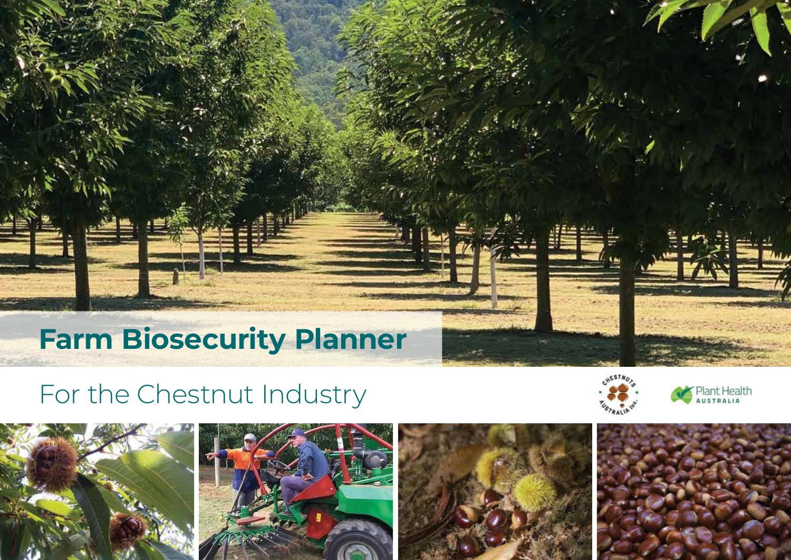# **Farm Biosecurity Planner**

# For the Chestnut Industry









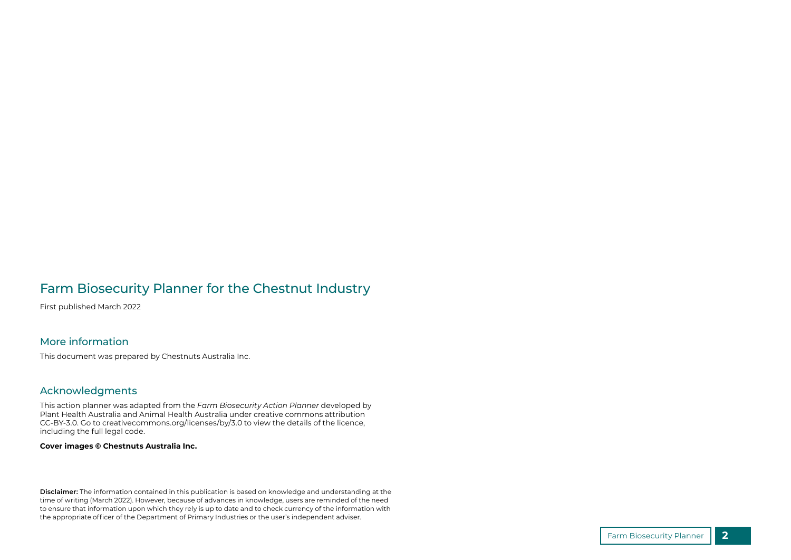#### Farm Biosecurity Planner for the Chestnut Industry

First published March 2022

#### More information

This document was prepared by Chestnuts Australia Inc.

#### Acknowledgments

This action planner was adapted from the *Farm Biosecurity Action Planner* developed by Plant Health Australia and Animal Health Australia under creative commons attribution CC-BY-3.0. Go to creativecommons.org/licenses/by/3.0 to view the details of the licence, including the full legal code.

#### **Cover images © Chestnuts Australia Inc.**

**Disclaimer:** The information contained in this publication is based on knowledge and understanding at the time of writing (March 2022). However, because of advances in knowledge, users are reminded of the need to ensure that information upon which they rely is up to date and to check currency of the information with the appropriate officer of the Department of Primary Industries or the user's independent adviser.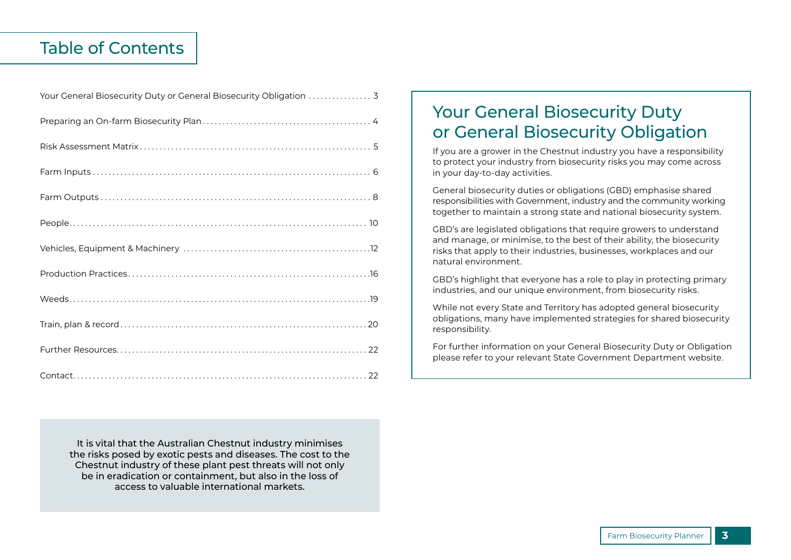#### Table of Contents

| Your General Biosecurity Duty or General Biosecurity Obligation  3 |
|--------------------------------------------------------------------|
|                                                                    |
|                                                                    |
|                                                                    |
|                                                                    |
|                                                                    |
|                                                                    |
|                                                                    |
|                                                                    |
|                                                                    |
|                                                                    |
|                                                                    |

Your General Biosecurity Duty or General Biosecurity Obligation

If you are a grower in the Chestnut industry you have a responsibility to protect your industry from biosecurity risks you may come across in your day-to-day activities.

General biosecurity duties or obligations (GBD) emphasise shared responsibilities with Government, industry and the community working together to maintain a strong state and national biosecurity system.

GBD's are legislated obligations that require growers to understand and manage, or minimise, to the best of their ability, the biosecurity risks that apply to their industries, businesses, workplaces and our natural environment.

GBD's highlight that everyone has a role to play in protecting primary industries, and our unique environment, from biosecurity risks.

While not every State and Territory has adopted general biosecurity obligations, many have implemented strategies for shared biosecurity responsibility.

For further information on your General Biosecurity Duty or Obligation please refer to your relevant State Government Department website.

It is vital that the Australian Chestnut industry minimises the risks posed by exotic pests and diseases. The cost to the Chestnut industry of these plant pest threats will not only be in eradication or containment, but also in the loss of access to valuable international markets.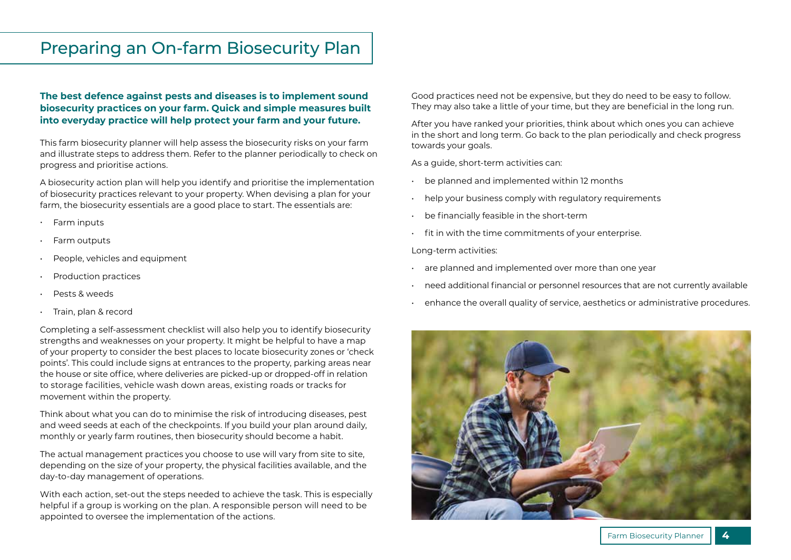### Preparing an On-farm Biosecurity Plan

#### **The best defence against pests and diseases is to implement sound biosecurity practices on your farm. Quick and simple measures built into everyday practice will help protect your farm and your future.**

This farm biosecurity planner will help assess the biosecurity risks on your farm and illustrate steps to address them. Refer to the planner periodically to check on progress and prioritise actions.

A biosecurity action plan will help you identify and prioritise the implementation of biosecurity practices relevant to your property. When devising a plan for your farm, the biosecurity essentials are a good place to start. The essentials are:

- Farm inputs
- Farm outputs
- People, vehicles and equipment
- Production practices
- Pests & weeds
- Train, plan & record

Completing a self-assessment checklist will also help you to identify biosecurity strengths and weaknesses on your property. It might be helpful to have a map of your property to consider the best places to locate biosecurity zones or 'check points'. This could include signs at entrances to the property, parking areas near the house or site office, where deliveries are picked-up or dropped-off in relation to storage facilities, vehicle wash down areas, existing roads or tracks for movement within the property.

Think about what you can do to minimise the risk of introducing diseases, pest and weed seeds at each of the checkpoints. If you build your plan around daily, monthly or yearly farm routines, then biosecurity should become a habit.

The actual management practices you choose to use will vary from site to site, depending on the size of your property, the physical facilities available, and the day-to-day management of operations.

With each action, set-out the steps needed to achieve the task. This is especially helpful if a group is working on the plan. A responsible person will need to be appointed to oversee the implementation of the actions.

Good practices need not be expensive, but they do need to be easy to follow. They may also take a little of your time, but they are beneficial in the long run.

After you have ranked your priorities, think about which ones you can achieve in the short and long term. Go back to the plan periodically and check progress towards your goals.

As a guide, short-term activities can:

- be planned and implemented within 12 months
- help your business comply with regulatory requirements
- be financially feasible in the short-term
- fit in with the time commitments of your enterprise.

Long-term activities:

- are planned and implemented over more than one year
- need additional financial or personnel resources that are not currently available
- enhance the overall quality of service, aesthetics or administrative procedures.

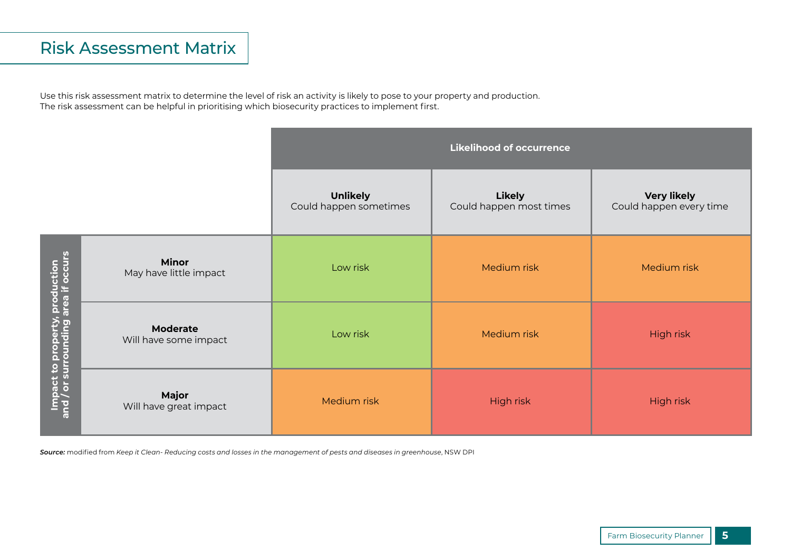### Risk Assessment Matrix

Use this risk assessment matrix to determine the level of risk an activity is likely to pose to your property and production. The risk assessment can be helpful in prioritising which biosecurity practices to implement first.

|                                                                       |                                          |                                           | <b>Likelihood of occurrence</b>          |                                               |
|-----------------------------------------------------------------------|------------------------------------------|-------------------------------------------|------------------------------------------|-----------------------------------------------|
|                                                                       |                                          | <b>Unlikely</b><br>Could happen sometimes | <b>Likely</b><br>Could happen most times | <b>Very likely</b><br>Could happen every time |
|                                                                       | <b>Minor</b><br>May have little impact   | Low risk                                  | Medium risk                              | Medium risk                                   |
| Impact to property, production<br>and / or surrounding area if occurs | <b>Moderate</b><br>Will have some impact | Low risk                                  | Medium risk                              | High risk                                     |
|                                                                       | Major<br>Will have great impact          | Medium risk                               | High risk                                | High risk                                     |

*Source:* modified from *Keep it Clean- Reducing costs and losses in the management of pests and diseases in greenhouse*, NSW DPI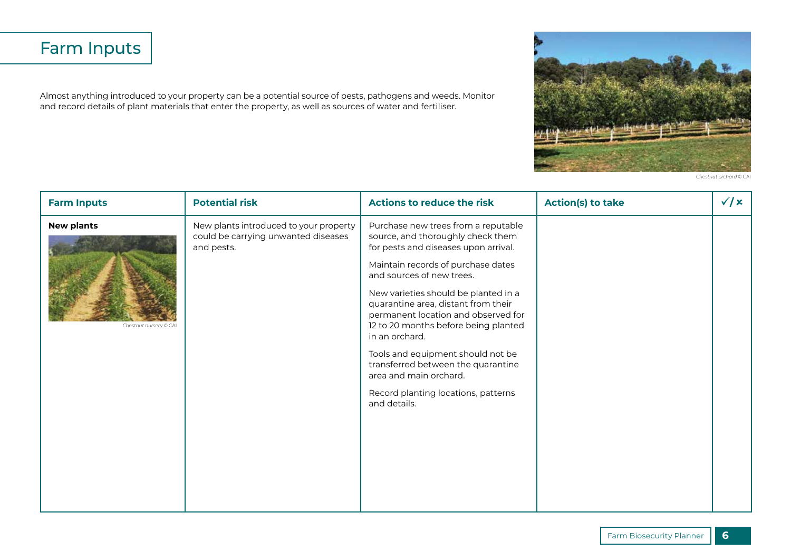## Farm Inputs

Almost anything introduced to your property can be a potential source of pests, pathogens and weeds. Monitor and record details of plant materials that enter the property, as well as sources of water and fertiliser.



*Chestnut orchard* © CAI

| <b>Farm Inputs</b>                          | <b>Potential risk</b>                                                                       | <b>Actions to reduce the risk</b>                                                                                                                                                                                                                                                                                                                                                                                                                                                                                               | <b>Action(s) to take</b> | $\sqrt{x}$ |
|---------------------------------------------|---------------------------------------------------------------------------------------------|---------------------------------------------------------------------------------------------------------------------------------------------------------------------------------------------------------------------------------------------------------------------------------------------------------------------------------------------------------------------------------------------------------------------------------------------------------------------------------------------------------------------------------|--------------------------|------------|
| <b>New plants</b><br>Chestnut nursery © CAI | New plants introduced to your property<br>could be carrying unwanted diseases<br>and pests. | Purchase new trees from a reputable<br>source, and thoroughly check them<br>for pests and diseases upon arrival.<br>Maintain records of purchase dates<br>and sources of new trees.<br>New varieties should be planted in a<br>quarantine area, distant from their<br>permanent location and observed for<br>12 to 20 months before being planted<br>in an orchard.<br>Tools and equipment should not be<br>transferred between the quarantine<br>area and main orchard.<br>Record planting locations, patterns<br>and details. |                          |            |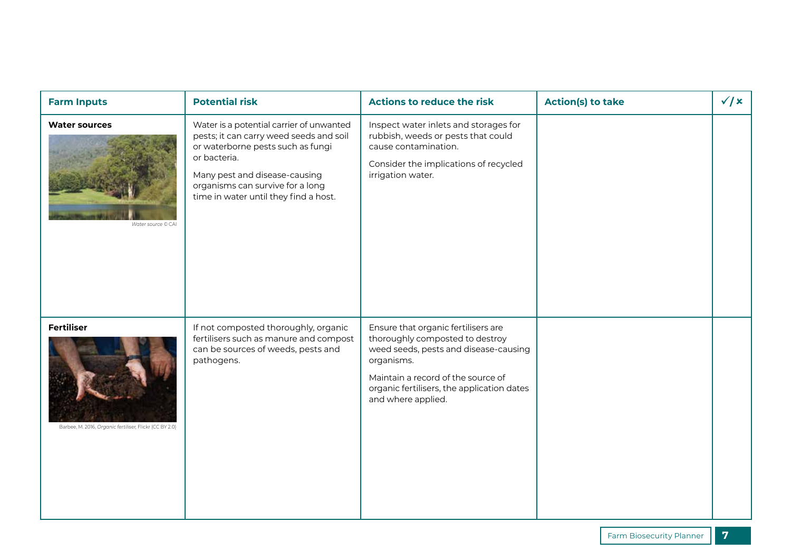| <b>Farm Inputs</b>                                                           | <b>Potential risk</b>                                                                                                                                                                                                                                  | <b>Actions to reduce the risk</b>                                                                                                                                                                                                       | <b>Action(s) to take</b> | $\sqrt{x}$ |
|------------------------------------------------------------------------------|--------------------------------------------------------------------------------------------------------------------------------------------------------------------------------------------------------------------------------------------------------|-----------------------------------------------------------------------------------------------------------------------------------------------------------------------------------------------------------------------------------------|--------------------------|------------|
| <b>Water sources</b><br>Water source © CAI                                   | Water is a potential carrier of unwanted<br>pests; it can carry weed seeds and soil<br>or waterborne pests such as fungi<br>or bacteria.<br>Many pest and disease-causing<br>organisms can survive for a long<br>time in water until they find a host. | Inspect water inlets and storages for<br>rubbish, weeds or pests that could<br>cause contamination.<br>Consider the implications of recycled<br>irrigation water.                                                                       |                          |            |
| <b>Fertiliser</b><br>Barbee, M. 2016, Organic fertiliser, Flickr (CC BY 2.0) | If not composted thoroughly, organic<br>fertilisers such as manure and compost<br>can be sources of weeds, pests and<br>pathogens.                                                                                                                     | Ensure that organic fertilisers are<br>thoroughly composted to destroy<br>weed seeds, pests and disease-causing<br>organisms.<br>Maintain a record of the source of<br>organic fertilisers, the application dates<br>and where applied. |                          |            |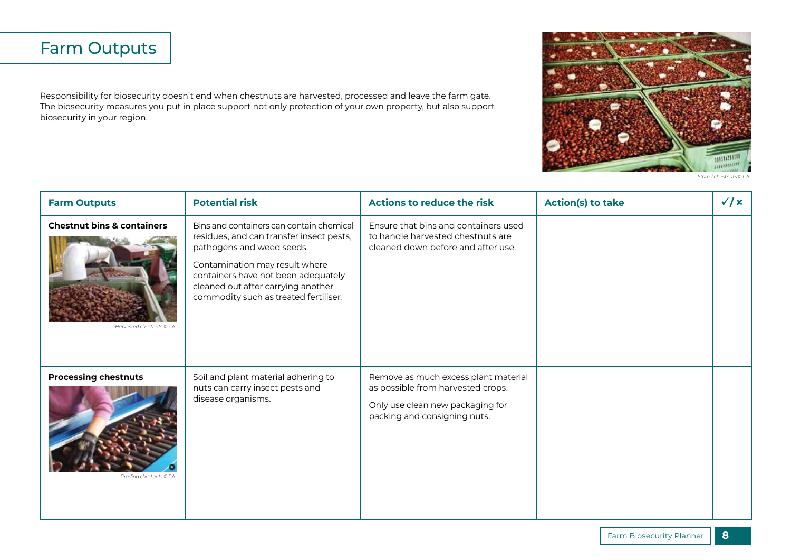## Farm Outputs

Responsibility for biosecurity doesn't end when chestnuts are harvested, processed and leave the farm gate. The biosecurity measures you put in place support not only protection of your own property, but also support biosecurity in your region.



*Stored chestnuts* © CAI

| <b>Farm Outputs</b>                                               | <b>Potential risk</b>                                                                                                                                                                                                                                                     | <b>Actions to reduce the risk</b>                                                                                                             | <b>Action(s) to take</b> | $\sqrt{x}$ |
|-------------------------------------------------------------------|---------------------------------------------------------------------------------------------------------------------------------------------------------------------------------------------------------------------------------------------------------------------------|-----------------------------------------------------------------------------------------------------------------------------------------------|--------------------------|------------|
| <b>Chestnut bins &amp; containers</b><br>Harvested chestnuts © CA | Bins and containers can contain chemical<br>residues, and can transfer insect pests,<br>pathogens and weed seeds.<br>Contamination may result where<br>containers have not been adequately<br>cleaned out after carrying another<br>commodity such as treated fertiliser. | Ensure that bins and containers used<br>to handle harvested chestnuts are<br>cleaned down before and after use.                               |                          |            |
| <b>Processing chestnuts</b><br>Grading chestnuts © CAI            | Soil and plant material adhering to<br>nuts can carry insect pests and<br>disease organisms.                                                                                                                                                                              | Remove as much excess plant material<br>as possible from harvested crops.<br>Only use clean new packaging for<br>packing and consigning nuts. |                          |            |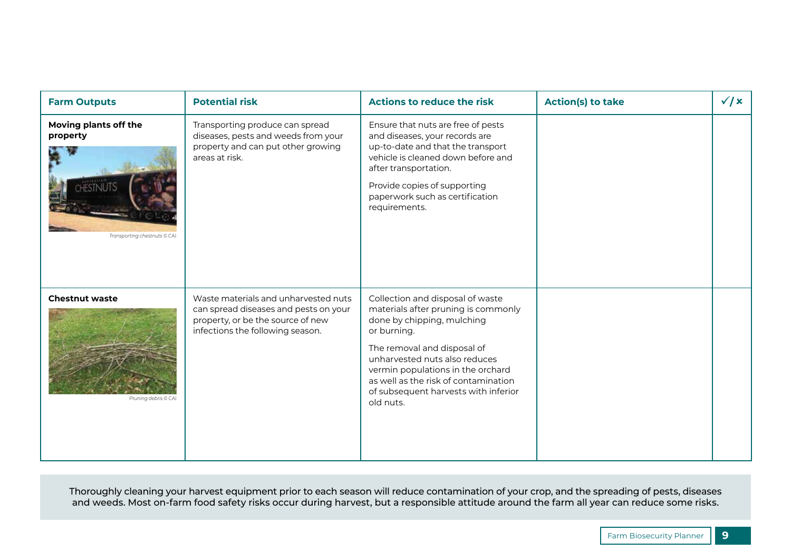| <b>Farm Outputs</b>                                               | <b>Potential risk</b>                                                                                                                                  | <b>Actions to reduce the risk</b>                                                                                                                                                                                                                                                                                      | <b>Action(s) to take</b> | $\sqrt{x}$ |
|-------------------------------------------------------------------|--------------------------------------------------------------------------------------------------------------------------------------------------------|------------------------------------------------------------------------------------------------------------------------------------------------------------------------------------------------------------------------------------------------------------------------------------------------------------------------|--------------------------|------------|
| Moving plants off the<br>property<br>Transporting chestnuts © CAI | Transporting produce can spread<br>diseases, pests and weeds from your<br>property and can put other growing<br>areas at risk.                         | Ensure that nuts are free of pests<br>and diseases, your records are<br>up-to-date and that the transport<br>vehicle is cleaned down before and<br>after transportation.<br>Provide copies of supporting<br>paperwork such as certification<br>requirements.                                                           |                          |            |
| <b>Chestnut waste</b><br>Pruning debris © CAI                     | Waste materials and unharvested nuts<br>can spread diseases and pests on your<br>property, or be the source of new<br>infections the following season. | Collection and disposal of waste<br>materials after pruning is commonly<br>done by chipping, mulching<br>or burning.<br>The removal and disposal of<br>unharvested nuts also reduces<br>vermin populations in the orchard<br>as well as the risk of contamination<br>of subsequent harvests with inferior<br>old nuts. |                          |            |

Thoroughly cleaning your harvest equipment prior to each season will reduce contamination of your crop, and the spreading of pests, diseases and weeds. Most on-farm food safety risks occur during harvest, but a responsible attitude around the farm all year can reduce some risks.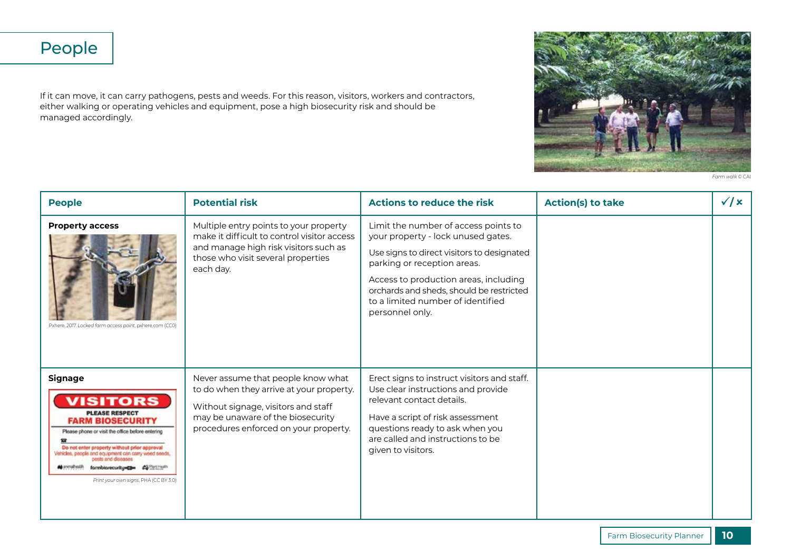## People

If it can move, it can carry pathogens, pests and weeds. For this reason, visitors, workers and contractors, either walking or operating vehicles and equipment, pose a high biosecurity risk and should be managed accordingly.



*Farm walk* © CAI

| <b>People</b>                                                                                                                                                                                                                                                                                                                                  | <b>Potential risk</b>                                                                                                                                                                               | Actions to reduce the risk                                                                                                                                                                                                                                                                           | <b>Action(s) to take</b> | $\sqrt{x}$ |
|------------------------------------------------------------------------------------------------------------------------------------------------------------------------------------------------------------------------------------------------------------------------------------------------------------------------------------------------|-----------------------------------------------------------------------------------------------------------------------------------------------------------------------------------------------------|------------------------------------------------------------------------------------------------------------------------------------------------------------------------------------------------------------------------------------------------------------------------------------------------------|--------------------------|------------|
| <b>Property access</b><br>Pxhere, 2017. Locked farm access point, pxhere.com (CC0)                                                                                                                                                                                                                                                             | Multiple entry points to your property<br>make it difficult to control visitor access<br>and manage high risk visitors such as<br>those who visit several properties<br>each day.                   | Limit the number of access points to<br>your property - lock unused gates.<br>Use signs to direct visitors to designated<br>parking or reception areas.<br>Access to production areas, including<br>orchards and sheds, should be restricted<br>to a limited number of identified<br>personnel only. |                          |            |
| <b>Signage</b><br><b>VISITORS</b><br><b>PLEASE RESPECT</b><br><b>FARM BIOSECURITY</b><br>Please phone or visit the office before entering<br>Do not enter property without prior approval<br>Vehicles, people and equipment can carry weed seeds,<br>de anmalhosith<br>formbiorecurity=C3= #255511545<br>Print your own signs, PHA (CC BY 3.0) | Never assume that people know what<br>to do when they arrive at your property.<br>Without signage, visitors and staff<br>may be unaware of the biosecurity<br>procedures enforced on your property. | Erect signs to instruct visitors and staff.<br>Use clear instructions and provide<br>relevant contact details.<br>Have a script of risk assessment<br>questions ready to ask when you<br>are called and instructions to be<br>given to visitors.                                                     |                          |            |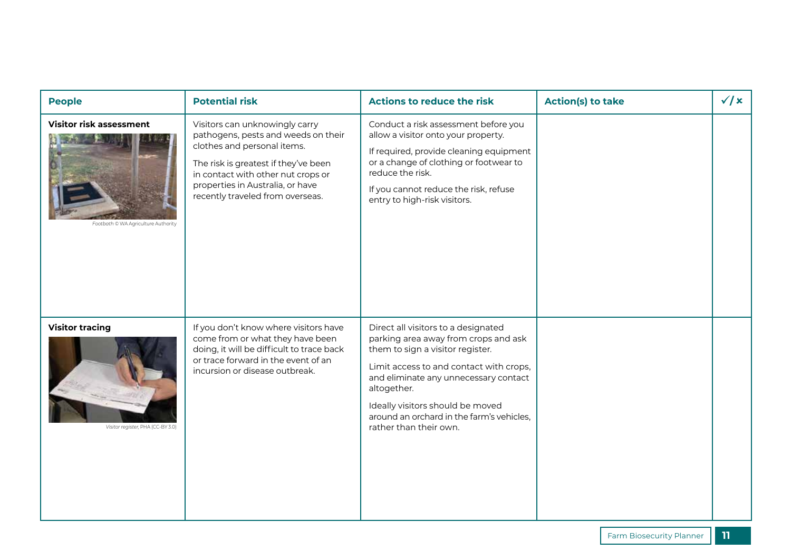| <b>People</b>                                                         | <b>Potential risk</b>                                                                                                                                                                                                                                      | <b>Actions to reduce the risk</b>                                                                                                                                                                                                                                                                                             | <b>Action(s) to take</b> | $\sqrt{x}$ |
|-----------------------------------------------------------------------|------------------------------------------------------------------------------------------------------------------------------------------------------------------------------------------------------------------------------------------------------------|-------------------------------------------------------------------------------------------------------------------------------------------------------------------------------------------------------------------------------------------------------------------------------------------------------------------------------|--------------------------|------------|
| <b>Visitor risk assessment</b><br>Footbath © WA Agriculture Authority | Visitors can unknowingly carry<br>pathogens, pests and weeds on their<br>clothes and personal items.<br>The risk is greatest if they've been<br>in contact with other nut crops or<br>properties in Australia, or have<br>recently traveled from overseas. | Conduct a risk assessment before you<br>allow a visitor onto your property.<br>If required, provide cleaning equipment<br>or a change of clothing or footwear to<br>reduce the risk.<br>If you cannot reduce the risk, refuse<br>entry to high-risk visitors.                                                                 |                          |            |
| <b>Visitor tracing</b><br>Visitor register, PHA (CC-BY 3.0)           | If you don't know where visitors have<br>come from or what they have been<br>doing, it will be difficult to trace back<br>or trace forward in the event of an<br>incursion or disease outbreak.                                                            | Direct all visitors to a designated<br>parking area away from crops and ask<br>them to sign a visitor register.<br>Limit access to and contact with crops,<br>and eliminate any unnecessary contact<br>altogether.<br>Ideally visitors should be moved<br>around an orchard in the farm's vehicles,<br>rather than their own. |                          |            |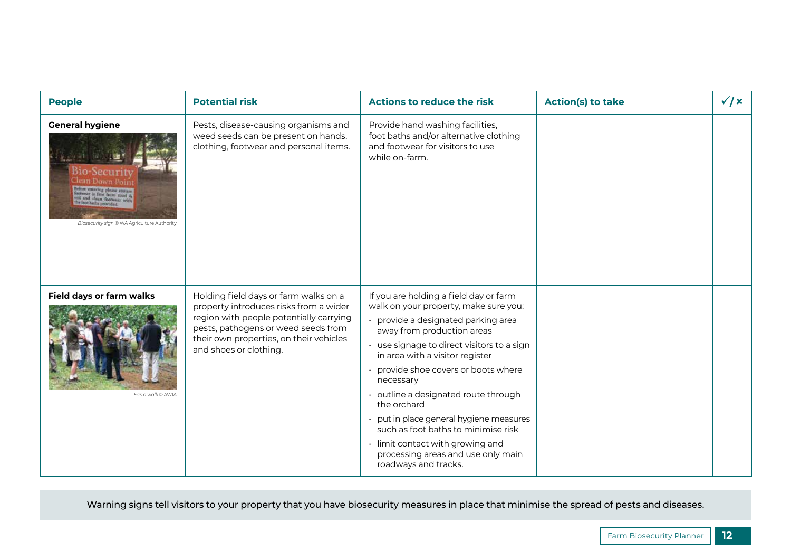| <b>People</b>                                                                                                                  | <b>Potential risk</b>                                                                                                                                                                                                                  | <b>Actions to reduce the risk</b>                                                                                                                                                                                                                                                                                                                                                                                                                                                                                               | <b>Action(s) to take</b> | $\sqrt{x}$ |
|--------------------------------------------------------------------------------------------------------------------------------|----------------------------------------------------------------------------------------------------------------------------------------------------------------------------------------------------------------------------------------|---------------------------------------------------------------------------------------------------------------------------------------------------------------------------------------------------------------------------------------------------------------------------------------------------------------------------------------------------------------------------------------------------------------------------------------------------------------------------------------------------------------------------------|--------------------------|------------|
| <b>General hygiene</b><br>Bio-Securit<br>lean Down Poin<br>sering please enoure<br>Biosecurity sign © WA Agriculture Authority | Pests, disease-causing organisms and<br>weed seeds can be present on hands,<br>clothing, footwear and personal items.                                                                                                                  | Provide hand washing facilities,<br>foot baths and/or alternative clothing<br>and footwear for visitors to use<br>while on-farm.                                                                                                                                                                                                                                                                                                                                                                                                |                          |            |
| Field days or farm walks<br>Farm walk © AWIA                                                                                   | Holding field days or farm walks on a<br>property introduces risks from a wider<br>region with people potentially carrying<br>pests, pathogens or weed seeds from<br>their own properties, on their vehicles<br>and shoes or clothing. | If you are holding a field day or farm<br>walk on your property, make sure you:<br>provide a designated parking area<br>away from production areas<br>· use signage to direct visitors to a sign<br>in area with a visitor register<br>provide shoe covers or boots where<br>necessary<br>• outline a designated route through<br>the orchard<br>put in place general hygiene measures<br>such as foot baths to minimise risk<br>· limit contact with growing and<br>processing areas and use only main<br>roadways and tracks. |                          |            |

Warning signs tell visitors to your property that you have biosecurity measures in place that minimise the spread of pests and diseases.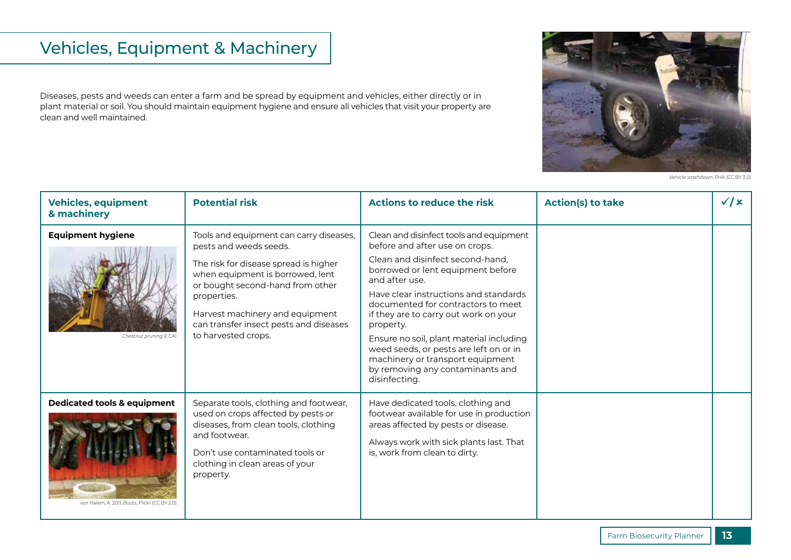## Vehicles, Equipment & Machinery

Diseases, pests and weeds can enter a farm and be spread by equipment and vehicles, either directly or in plant material or soil. You should maintain equipment hygiene and ensure all vehicles that visit your property are clean and well maintained.



*Vehicle washdown*, PHA (CC BY 3.0)

| <b>Vehicles, equipment</b><br>& machinery                                               | <b>Potential risk</b>                                                                                                                                                                                                                                                                                 | Actions to reduce the risk                                                                                                                                                                                                                                                                                                                                                                                                                                                               | <b>Action(s) to take</b> | $\sqrt{x}$ |
|-----------------------------------------------------------------------------------------|-------------------------------------------------------------------------------------------------------------------------------------------------------------------------------------------------------------------------------------------------------------------------------------------------------|------------------------------------------------------------------------------------------------------------------------------------------------------------------------------------------------------------------------------------------------------------------------------------------------------------------------------------------------------------------------------------------------------------------------------------------------------------------------------------------|--------------------------|------------|
| <b>Equipment hygiene</b><br>Chestnut pruning © CAI                                      | Tools and equipment can carry diseases,<br>pests and weeds seeds.<br>The risk for disease spread is higher<br>when equipment is borrowed, lent<br>or bought second-hand from other<br>properties.<br>Harvest machinery and equipment<br>can transfer insect pests and diseases<br>to harvested crops. | Clean and disinfect tools and equipment<br>before and after use on crops.<br>Clean and disinfect second-hand,<br>borrowed or lent equipment before<br>and after use.<br>Have clear instructions and standards<br>documented for contractors to meet<br>if they are to carry out work on your<br>property.<br>Ensure no soil, plant material including<br>weed seeds, or pests are left on or in<br>machinery or transport equipment<br>by removing any contaminants and<br>disinfecting. |                          |            |
| <b>Dedicated tools &amp; equipment</b><br>von Halem, A. 2011, Boots, Flickr (CC BY 2.0) | Separate tools, clothing and footwear,<br>used on crops affected by pests or<br>diseases, from clean tools, clothing<br>and footwear.<br>Don't use contaminated tools or<br>clothing in clean areas of your<br>property.                                                                              | Have dedicated tools, clothing and<br>footwear available for use in production<br>areas affected by pests or disease.<br>Always work with sick plants last. That<br>is, work from clean to dirty.                                                                                                                                                                                                                                                                                        |                          |            |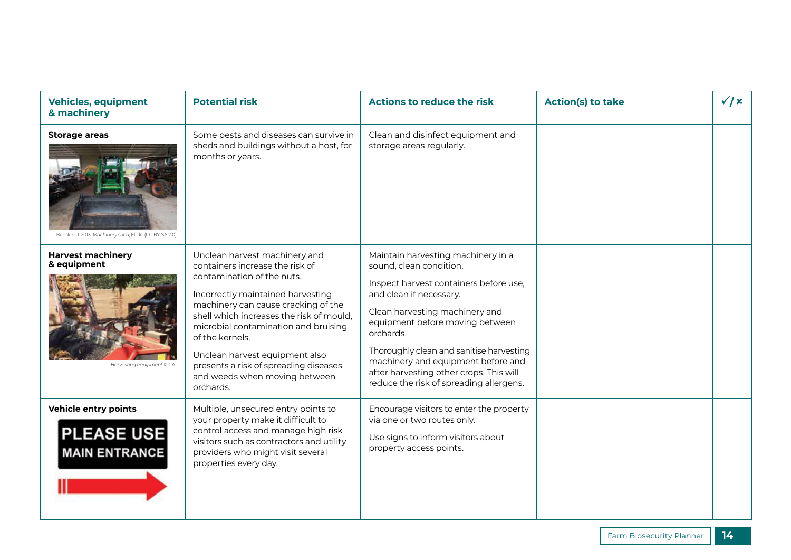| <b>Vehicles, equipment</b><br>& machinery                                      | <b>Potential risk</b>                                                                                                                                                                                                                                                                                                                                                                                      | <b>Actions to reduce the risk</b>                                                                                                                                                                                                                                                                                                                                                            | <b>Action(s) to take</b> | $\sqrt{x}$ |
|--------------------------------------------------------------------------------|------------------------------------------------------------------------------------------------------------------------------------------------------------------------------------------------------------------------------------------------------------------------------------------------------------------------------------------------------------------------------------------------------------|----------------------------------------------------------------------------------------------------------------------------------------------------------------------------------------------------------------------------------------------------------------------------------------------------------------------------------------------------------------------------------------------|--------------------------|------------|
| <b>Storage areas</b><br>Bendon, J. 2013. Machinery shed, Flickr (CC BY-SA 2.0) | Some pests and diseases can survive in<br>sheds and buildings without a host, for<br>months or years.                                                                                                                                                                                                                                                                                                      | Clean and disinfect equipment and<br>storage areas regularly.                                                                                                                                                                                                                                                                                                                                |                          |            |
| <b>Harvest machinery</b><br>& equipment<br>Harvesting equipment © CAI          | Unclean harvest machinery and<br>containers increase the risk of<br>contamination of the nuts.<br>Incorrectly maintained harvesting<br>machinery can cause cracking of the<br>shell which increases the risk of mould.<br>microbial contamination and bruising<br>of the kernels.<br>Unclean harvest equipment also<br>presents a risk of spreading diseases<br>and weeds when moving between<br>orchards. | Maintain harvesting machinery in a<br>sound, clean condition.<br>Inspect harvest containers before use,<br>and clean if necessary.<br>Clean harvesting machinery and<br>equipment before moving between<br>orchards.<br>Thoroughly clean and sanitise harvesting<br>machinery and equipment before and<br>after harvesting other crops. This will<br>reduce the risk of spreading allergens. |                          |            |
| Vehicle entry points<br><b>PLEASE USE</b><br><b>MAIN ENTRANCE</b>              | Multiple, unsecured entry points to<br>your property make it difficult to<br>control access and manage high risk<br>visitors such as contractors and utility<br>providers who might visit several<br>properties every day.                                                                                                                                                                                 | Encourage visitors to enter the property<br>via one or two routes only.<br>Use signs to inform visitors about<br>property access points.                                                                                                                                                                                                                                                     |                          |            |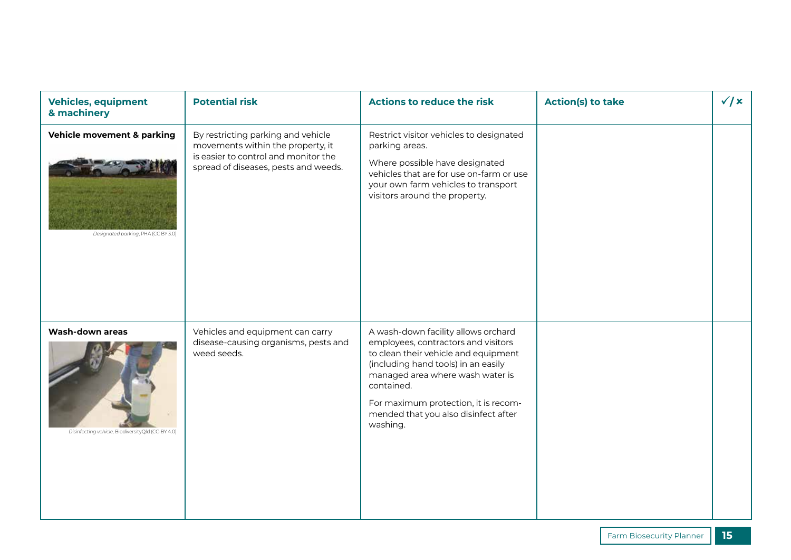| <b>Vehicles, equipment</b><br>& machinery                            | <b>Potential risk</b>                                                                                                                                   | <b>Actions to reduce the risk</b>                                                                                                                                                                                                                                                                       | <b>Action(s) to take</b> | $\sqrt{x}$ |
|----------------------------------------------------------------------|---------------------------------------------------------------------------------------------------------------------------------------------------------|---------------------------------------------------------------------------------------------------------------------------------------------------------------------------------------------------------------------------------------------------------------------------------------------------------|--------------------------|------------|
| Vehicle movement & parking<br>Designated parking, PHA (CC BY 3.0)    | By restricting parking and vehicle<br>movements within the property, it<br>is easier to control and monitor the<br>spread of diseases, pests and weeds. | Restrict visitor vehicles to designated<br>parking areas.<br>Where possible have designated<br>vehicles that are for use on-farm or use<br>your own farm vehicles to transport<br>visitors around the property.                                                                                         |                          |            |
| Wash-down areas<br>Disinfecting vehicle, BiodiversityQld (CC-BY 4.0) | Vehicles and equipment can carry<br>disease-causing organisms, pests and<br>weed seeds.                                                                 | A wash-down facility allows orchard<br>employees, contractors and visitors<br>to clean their vehicle and equipment<br>(including hand tools) in an easily<br>managed area where wash water is<br>contained.<br>For maximum protection, it is recom-<br>mended that you also disinfect after<br>washing. |                          |            |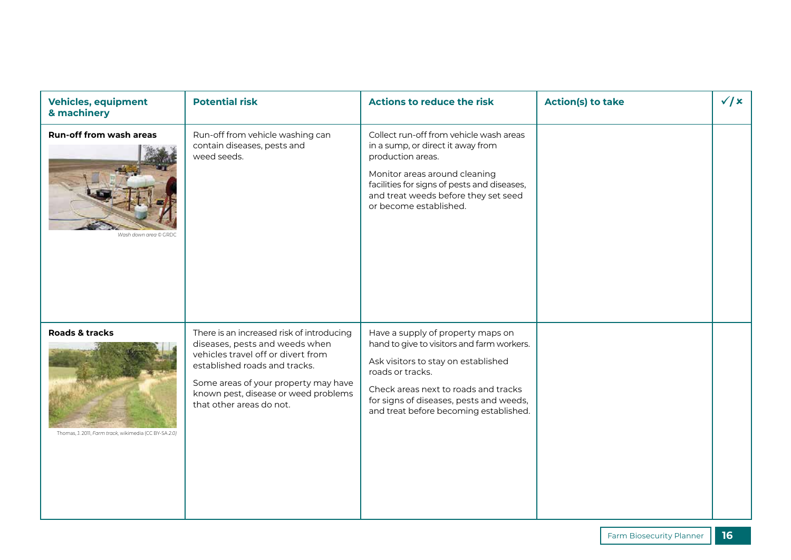| <b>Vehicles, equipment</b><br>& machinery                               | <b>Potential risk</b>                                                                                                                                                                                                                                          | <b>Actions to reduce the risk</b>                                                                                                                                                                                                                                       | <b>Action(s) to take</b> | $\sqrt{x}$ |
|-------------------------------------------------------------------------|----------------------------------------------------------------------------------------------------------------------------------------------------------------------------------------------------------------------------------------------------------------|-------------------------------------------------------------------------------------------------------------------------------------------------------------------------------------------------------------------------------------------------------------------------|--------------------------|------------|
| <b>Run-off from wash areas</b><br>Wash down area © GRDC                 | Run-off from vehicle washing can<br>contain diseases, pests and<br>weed seeds.                                                                                                                                                                                 | Collect run-off from vehicle wash areas<br>in a sump, or direct it away from<br>production areas.<br>Monitor areas around cleaning<br>facilities for signs of pests and diseases,<br>and treat weeds before they set seed<br>or become established.                     |                          |            |
| Roads & tracks<br>Thomas, J. 2011, Farm track, wikimedia (CC BY-SA 2.0) | There is an increased risk of introducing<br>diseases, pests and weeds when<br>vehicles travel off or divert from<br>established roads and tracks.<br>Some areas of your property may have<br>known pest, disease or weed problems<br>that other areas do not. | Have a supply of property maps on<br>hand to give to visitors and farm workers.<br>Ask visitors to stay on established<br>roads or tracks.<br>Check areas next to roads and tracks<br>for signs of diseases, pests and weeds,<br>and treat before becoming established. |                          |            |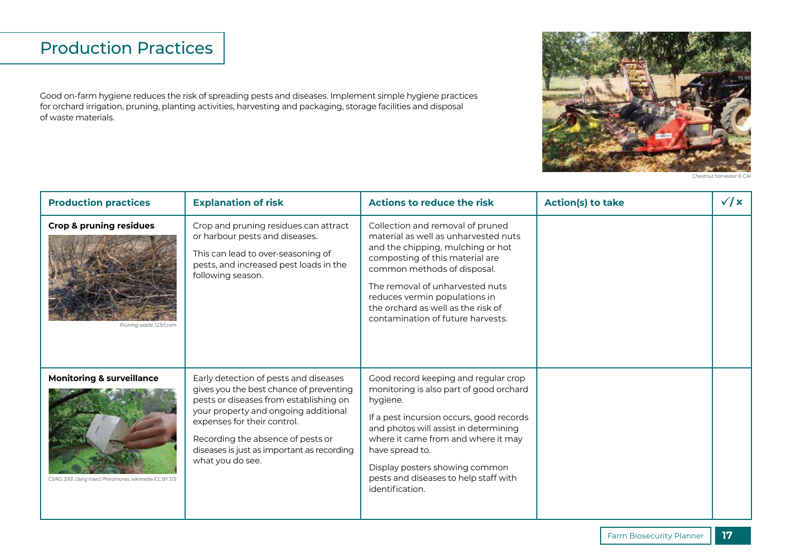### Production Practices

Good on-farm hygiene reduces the risk of spreading pests and diseases. Implement simple hygiene practices for orchard irrigation, pruning, planting activities, harvesting and packaging, storage facilities and disposal of waste materials.



*Chestnut harvester* © CAI

| <b>Production practices</b>                                                                         | <b>Explanation of risk</b>                                                                                                                                                                                                                                                                               | <b>Actions to reduce the risk</b>                                                                                                                                                                                                                                                                                                        | <b>Action(s) to take</b> | $\sqrt{x}$ |
|-----------------------------------------------------------------------------------------------------|----------------------------------------------------------------------------------------------------------------------------------------------------------------------------------------------------------------------------------------------------------------------------------------------------------|------------------------------------------------------------------------------------------------------------------------------------------------------------------------------------------------------------------------------------------------------------------------------------------------------------------------------------------|--------------------------|------------|
| <b>Crop &amp; pruning residues</b><br>Pruning waste, 123rf.com                                      | Crop and pruning residues can attract<br>or harbour pests and diseases.<br>This can lead to over-seasoning of<br>pests, and increased pest loads in the<br>following season.                                                                                                                             | Collection and removal of pruned<br>material as well as unharvested nuts<br>and the chipping, mulching or hot<br>composting of this material are<br>common methods of disposal.<br>The removal of unharvested nuts<br>reduces vermin populations in<br>the orchard as well as the risk of<br>contamination of future harvests.           |                          |            |
| <b>Monitoring &amp; surveillance</b><br>CSIRO. 2001, Using Insect Pheromones, wikimedia (CC BY 3.0) | Early detection of pests and diseases<br>gives you the best chance of preventing<br>pests or diseases from establishing on<br>your property and ongoing additional<br>expenses for their control.<br>Recording the absence of pests or<br>diseases is just as important as recording<br>what you do see. | Good record keeping and regular crop<br>monitoring is also part of good orchard<br>hygiene.<br>If a pest incursion occurs, good records<br>and photos will assist in determining<br>where it came from and where it may<br>have spread to.<br>Display posters showing common<br>pests and diseases to help staff with<br>identification. |                          |            |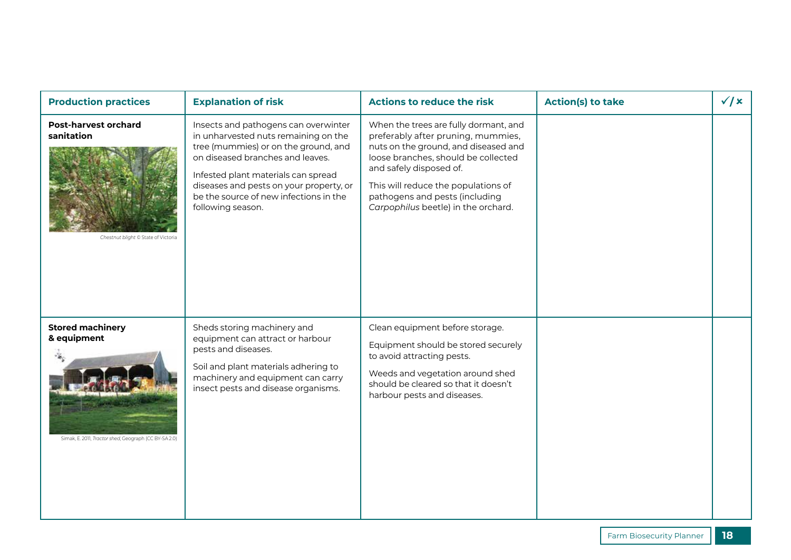| <b>Production practices</b>                                                                     | <b>Explanation of risk</b>                                                                                                                                                                                                                                                                                | <b>Actions to reduce the risk</b>                                                                                                                                                                                                                                                                     | <b>Action(s) to take</b> | $\sqrt{x}$ |
|-------------------------------------------------------------------------------------------------|-----------------------------------------------------------------------------------------------------------------------------------------------------------------------------------------------------------------------------------------------------------------------------------------------------------|-------------------------------------------------------------------------------------------------------------------------------------------------------------------------------------------------------------------------------------------------------------------------------------------------------|--------------------------|------------|
| <b>Post-harvest orchard</b><br>sanitation<br>Chestnut blight © State of Victoria                | Insects and pathogens can overwinter<br>in unharvested nuts remaining on the<br>tree (mummies) or on the ground, and<br>on diseased branches and leaves.<br>Infested plant materials can spread<br>diseases and pests on your property, or<br>be the source of new infections in the<br>following season. | When the trees are fully dormant, and<br>preferably after pruning, mummies,<br>nuts on the ground, and diseased and<br>loose branches, should be collected<br>and safely disposed of.<br>This will reduce the populations of<br>pathogens and pests (including<br>Carpophilus beetle) in the orchard. |                          |            |
| <b>Stored machinery</b><br>& equipment<br>Simak, E. 2011, Tractor shed, Geograph (CC BY-SA 2.0) | Sheds storing machinery and<br>equipment can attract or harbour<br>pests and diseases.<br>Soil and plant materials adhering to<br>machinery and equipment can carry<br>insect pests and disease organisms.                                                                                                | Clean equipment before storage.<br>Equipment should be stored securely<br>to avoid attracting pests.<br>Weeds and vegetation around shed<br>should be cleared so that it doesn't<br>harbour pests and diseases.                                                                                       |                          |            |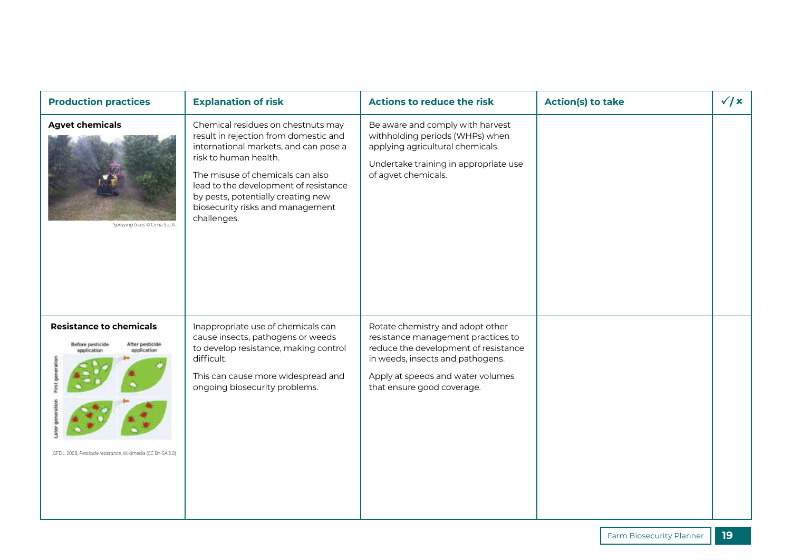| <b>Production practices</b>                                                                                                                                       | <b>Explanation of risk</b>                                                                                                                                                                                                                                                                                          | <b>Actions to reduce the risk</b>                                                                                                                                                                                     | <b>Action(s) to take</b> | $\sqrt{x}$ |
|-------------------------------------------------------------------------------------------------------------------------------------------------------------------|---------------------------------------------------------------------------------------------------------------------------------------------------------------------------------------------------------------------------------------------------------------------------------------------------------------------|-----------------------------------------------------------------------------------------------------------------------------------------------------------------------------------------------------------------------|--------------------------|------------|
| <b>Agvet chemicals</b><br>Spraying trees © Cima S.p.A.                                                                                                            | Chemical residues on chestnuts may<br>result in rejection from domestic and<br>international markets, and can pose a<br>risk to human health.<br>The misuse of chemicals can also<br>lead to the development of resistance<br>by pests, potentially creating new<br>biosecurity risks and management<br>challenges. | Be aware and comply with harvest<br>withholding periods (WHPs) when<br>applying agricultural chemicals.<br>Undertake training in appropriate use<br>of agvet chemicals.                                               |                          |            |
| <b>Resistance to chemicals</b><br>After pesticide<br>Before pesticide<br>application<br>application<br>GFDL. 2008, Pesticide resistance, Wikimedia (CC BY-SA 3.0) | Inappropriate use of chemicals can<br>cause insects, pathogens or weeds<br>to develop resistance, making control<br>difficult.<br>This can cause more widespread and<br>ongoing biosecurity problems.                                                                                                               | Rotate chemistry and adopt other<br>resistance management practices to<br>reduce the development of resistance<br>in weeds, insects and pathogens.<br>Apply at speeds and water volumes<br>that ensure good coverage. |                          |            |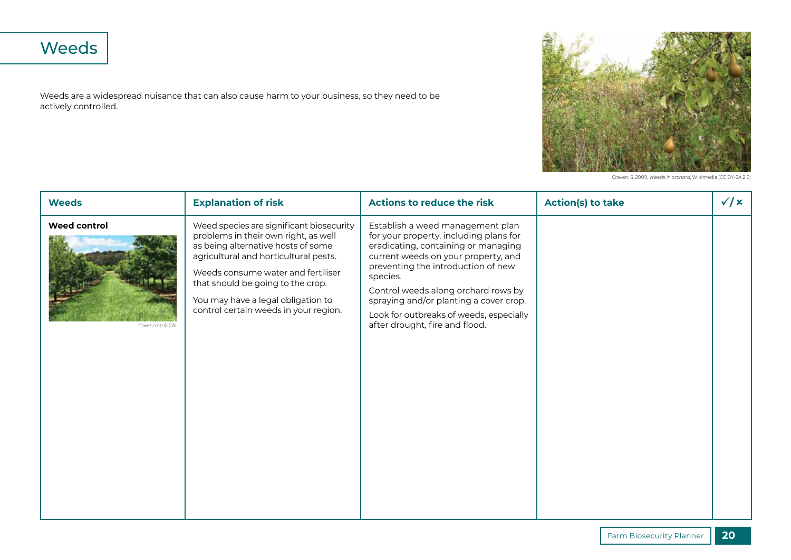# Weeds

Weeds are a widespread nuisance that can also cause harm to your business, so they need to be actively controlled.



Craven, S. 2009, *Weeds in orchard*, Wikimedia (CC BY-SA 2.0)

| <b>Weeds</b>                            | <b>Explanation of risk</b>                                                                                                                                                                                                                                                                                                | <b>Actions to reduce the risk</b>                                                                                                                                                                                                                                                                                                                                        | <b>Action(s) to take</b> | $\sqrt{x}$ |
|-----------------------------------------|---------------------------------------------------------------------------------------------------------------------------------------------------------------------------------------------------------------------------------------------------------------------------------------------------------------------------|--------------------------------------------------------------------------------------------------------------------------------------------------------------------------------------------------------------------------------------------------------------------------------------------------------------------------------------------------------------------------|--------------------------|------------|
| <b>Weed control</b><br>Cover crop © CAI | Weed species are significant biosecurity<br>problems in their own right, as well<br>as being alternative hosts of some<br>agricultural and horticultural pests.<br>Weeds consume water and fertiliser<br>that should be going to the crop.<br>You may have a legal obligation to<br>control certain weeds in your region. | Establish a weed management plan<br>for your property, including plans for<br>eradicating, containing or managing<br>current weeds on your property, and<br>preventing the introduction of new<br>species.<br>Control weeds along orchard rows by<br>spraying and/or planting a cover crop.<br>Look for outbreaks of weeds, especially<br>after drought, fire and flood. |                          |            |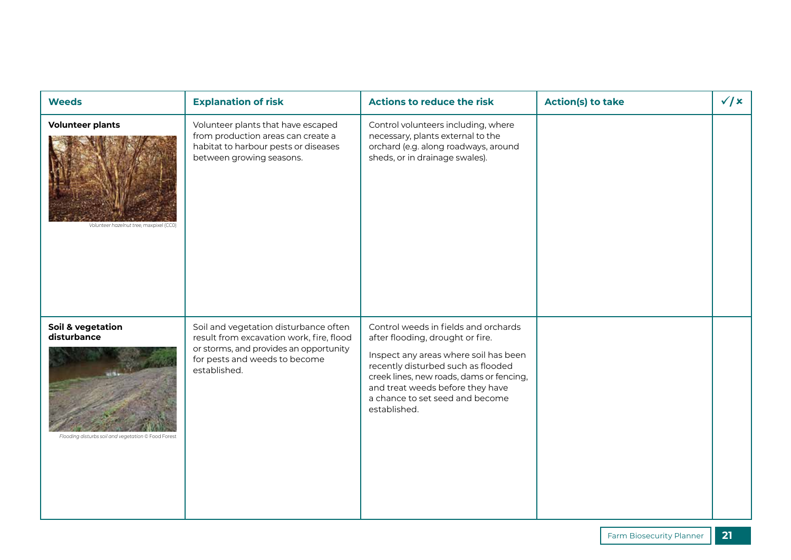| <b>Weeds</b>                                                                            | <b>Explanation of risk</b>                                                                                                                                                   | <b>Actions to reduce the risk</b>                                                                                                                                                                                                                                                          | <b>Action(s) to take</b> | $\sqrt{x}$ |
|-----------------------------------------------------------------------------------------|------------------------------------------------------------------------------------------------------------------------------------------------------------------------------|--------------------------------------------------------------------------------------------------------------------------------------------------------------------------------------------------------------------------------------------------------------------------------------------|--------------------------|------------|
| <b>Volunteer plants</b><br>Volunteer hazelnut tree, maxpixel (CC0)                      | Volunteer plants that have escaped<br>from production areas can create a<br>habitat to harbour pests or diseases<br>between growing seasons.                                 | Control volunteers including, where<br>necessary, plants external to the<br>orchard (e.g. along roadways, around<br>sheds, or in drainage swales).                                                                                                                                         |                          |            |
| Soil & vegetation<br>disturbance<br>Flooding disturbs soil and vegetation © Food Forest | Soil and vegetation disturbance often<br>result from excavation work, fire, flood<br>or storms, and provides an opportunity<br>for pests and weeds to become<br>established. | Control weeds in fields and orchards<br>after flooding, drought or fire.<br>Inspect any areas where soil has been<br>recently disturbed such as flooded<br>creek lines, new roads, dams or fencing,<br>and treat weeds before they have<br>a chance to set seed and become<br>established. |                          |            |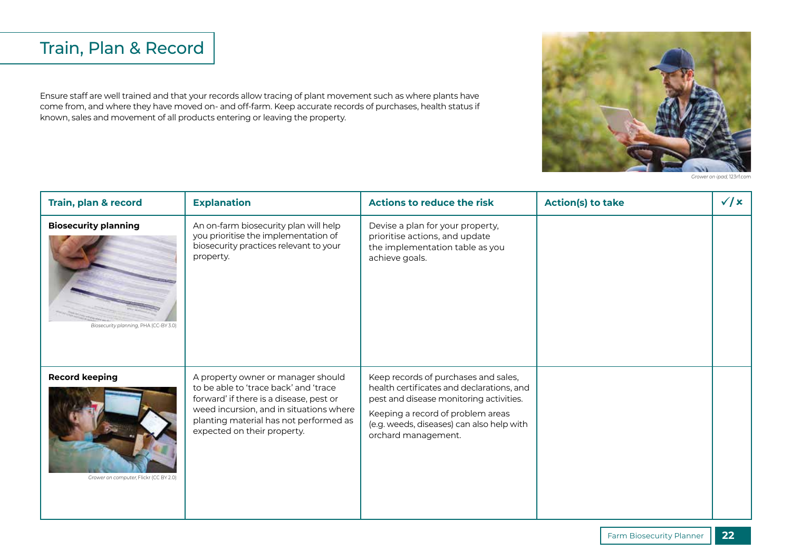## Train, Plan & Record

Ensure staff are well trained and that your records allow tracing of plant movement such as where plants have come from, and where they have moved on- and off-farm. Keep accurate records of purchases, health status if known, sales and movement of all products entering or leaving the property.



*Grower on ipad,* 123rf.com

| Train, plan & record                                                 | <b>Explanation</b>                                                                                                                                                                                                                         | <b>Actions to reduce the risk</b>                                                                                                                                                                                                     | <b>Action(s) to take</b> | $\sqrt{x}$ |
|----------------------------------------------------------------------|--------------------------------------------------------------------------------------------------------------------------------------------------------------------------------------------------------------------------------------------|---------------------------------------------------------------------------------------------------------------------------------------------------------------------------------------------------------------------------------------|--------------------------|------------|
| <b>Biosecurity planning</b><br>Biosecurity planning, PHA (CC-BY 3.0) | An on-farm biosecurity plan will help<br>you prioritise the implementation of<br>biosecurity practices relevant to your<br>property.                                                                                                       | Devise a plan for your property,<br>prioritise actions, and update<br>the implementation table as you<br>achieve goals.                                                                                                               |                          |            |
| <b>Record keeping</b><br>Grower on computer, Flickr (CC BY 2.0)      | A property owner or manager should<br>to be able to 'trace back' and 'trace<br>forward' if there is a disease, pest or<br>weed incursion, and in situations where<br>planting material has not performed as<br>expected on their property. | Keep records of purchases and sales,<br>health certificates and declarations, and<br>pest and disease monitoring activities.<br>Keeping a record of problem areas<br>(e.g. weeds, diseases) can also help with<br>orchard management. |                          |            |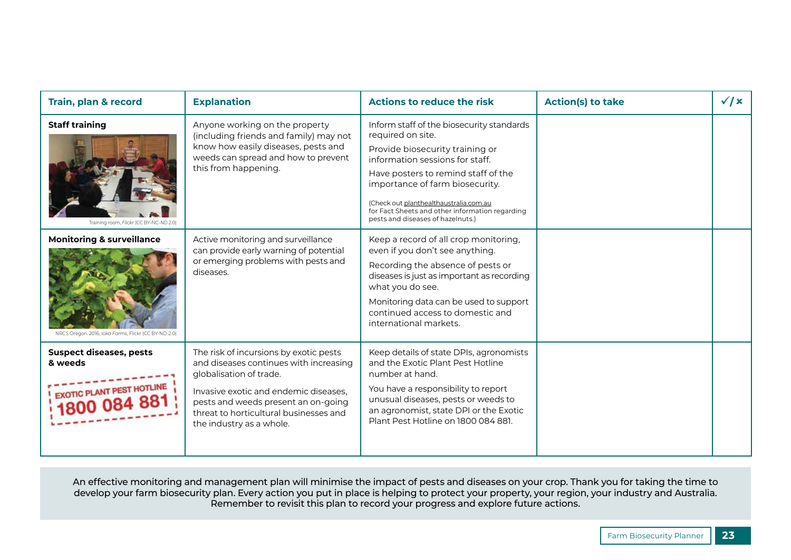| <b>Train, plan &amp; record</b>                                                              | <b>Explanation</b>                                                                                                                                                                                                                                                | <b>Actions to reduce the risk</b>                                                                                                                                                                                                                                                                                                                | <b>Action(s) to take</b> | $\sqrt{x}$ |
|----------------------------------------------------------------------------------------------|-------------------------------------------------------------------------------------------------------------------------------------------------------------------------------------------------------------------------------------------------------------------|--------------------------------------------------------------------------------------------------------------------------------------------------------------------------------------------------------------------------------------------------------------------------------------------------------------------------------------------------|--------------------------|------------|
| <b>Staff training</b><br>Training room, Flickr (CC BY-NC-ND 2.0)                             | Anyone working on the property<br>(including friends and family) may not<br>know how easily diseases, pests and<br>weeds can spread and how to prevent<br>this from happening.                                                                                    | Inform staff of the biosecurity standards<br>required on site.<br>Provide biosecurity training or<br>information sessions for staff.<br>Have posters to remind staff of the<br>importance of farm biosecurity.<br>(Check out planthealthaustralia.com.au<br>for Fact Sheets and other information regarding<br>pests and diseases of hazelnuts.) |                          |            |
| <b>Monitoring &amp; surveillance</b><br>NRCS Oregon. 2016, Joka Farms, Flickr (CC BY-ND-2.0) | Active monitoring and surveillance<br>can provide early warning of potential<br>or emerging problems with pests and<br>diseases.                                                                                                                                  | Keep a record of all crop monitoring,<br>even if you don't see anything.<br>Recording the absence of pests or<br>diseases is just as important as recording<br>what you do see.<br>Monitoring data can be used to support<br>continued access to domestic and<br>international markets.                                                          |                          |            |
| <b>Suspect diseases, pests</b><br>& weeds<br><b>EXOTIC PLANT PEST HOTLINE</b>                | The risk of incursions by exotic pests<br>and diseases continues with increasing<br>globalisation of trade.<br>Invasive exotic and endemic diseases.<br>pests and weeds present an on-going<br>threat to horticultural businesses and<br>the industry as a whole. | Keep details of state DPIs, agronomists<br>and the Exotic Plant Pest Hotline<br>number at hand.<br>You have a responsibility to report<br>unusual diseases, pests or weeds to<br>an agronomist, state DPI or the Exotic<br>Plant Pest Hotline on 1800 084 881.                                                                                   |                          |            |

An effective monitoring and management plan will minimise the impact of pests and diseases on your crop. Thank you for taking the time to develop your farm biosecurity plan. Every action you put in place is helping to protect your property, your region, your industry and Australia. Remember to revisit this plan to record your progress and explore future actions.